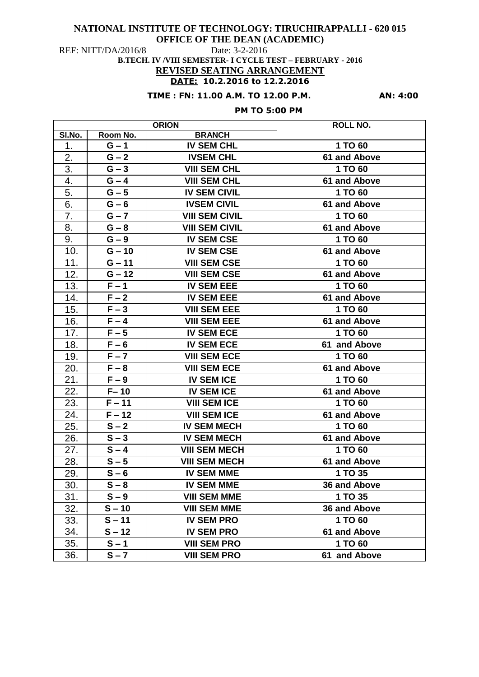# **NATIONAL INSTITUTE OF TECHNOLOGY: TIRUCHIRAPPALLI - 620 015**

**OFFICE OF THE DEAN (ACADEMIC)** 

REF: NITT/DA/2016/8 Date: 3-2-2016

**B.TECH. IV /VIII SEMESTER- I CYCLE TEST – FEBRUARY - 2016 REVISED SEATING ARRANGEMENT**

# **DATE: 10.2.2016 to 12.2.2016**

# **TIME : FN: 11.00 A.M. TO 12.00 P.M. AN: 4:00**

# **PM TO 5:00 PM**

| <b>ORION</b> |          |                       | <b>ROLL NO.</b> |
|--------------|----------|-----------------------|-----------------|
| SI.No.       | Room No. | <b>BRANCH</b>         |                 |
| 1.           | $G - 1$  | <b>IV SEM CHL</b>     | 1 TO 60         |
| 2.           | $G - 2$  | <b>IVSEM CHL</b>      | 61 and Above    |
| 3.           | $G - 3$  | <b>VIII SEM CHL</b>   | 1 TO 60         |
| 4.           | $G - 4$  | <b>VIII SEM CHL</b>   | 61 and Above    |
| 5.           | $G - 5$  | <b>IV SEM CIVIL</b>   | 1 TO 60         |
| 6.           | $G - 6$  | <b>IVSEM CIVIL</b>    | 61 and Above    |
| 7.           | $G - 7$  | <b>VIII SEM CIVIL</b> | 1 TO 60         |
| 8.           | $G - 8$  | <b>VIII SEM CIVIL</b> | 61 and Above    |
| 9.           | $G - 9$  | <b>IV SEM CSE</b>     | 1 TO 60         |
| 10.          | $G - 10$ | <b>IV SEM CSE</b>     | 61 and Above    |
| 11.          | $G - 11$ | <b>VIII SEM CSE</b>   | 1 TO 60         |
| 12.          | $G - 12$ | <b>VIII SEM CSE</b>   | 61 and Above    |
| 13.          | $F - 1$  | <b>IV SEM EEE</b>     | 1 TO 60         |
| 14.          | $F - 2$  | <b>IV SEM EEE</b>     | 61 and Above    |
| 15.          | $F - 3$  | <b>VIII SEM EEE</b>   | 1 TO 60         |
| 16.          | $F - 4$  | <b>VIII SEM EEE</b>   | 61 and Above    |
| 17.          | $F - 5$  | <b>IV SEM ECE</b>     | 1 TO 60         |
| 18.          | $F - 6$  | <b>IV SEM ECE</b>     | 61 and Above    |
| 19.          | $F - 7$  | <b>VIII SEM ECE</b>   | 1 TO 60         |
| 20.          | $F - 8$  | <b>VIII SEM ECE</b>   | 61 and Above    |
| 21.          | $F - 9$  | <b>IV SEM ICE</b>     | 1 TO 60         |
| 22.          | $F - 10$ | <b>IV SEM ICE</b>     | 61 and Above    |
| 23.          | $F - 11$ | <b>VIII SEM ICE</b>   | 1 TO 60         |
| 24.          | $F - 12$ | <b>VIII SEM ICE</b>   | 61 and Above    |
| 25.          | $S - 2$  | <b>IV SEM MECH</b>    | 1 TO 60         |
| 26.          | $S - 3$  | <b>IV SEM MECH</b>    | 61 and Above    |
| 27.          | $S - 4$  | <b>VIII SEM MECH</b>  | 1 TO 60         |
| 28.          | $S - 5$  | <b>VIII SEM MECH</b>  | 61 and Above    |
| 29.          | $S - 6$  | <b>IV SEM MME</b>     | 1 TO 35         |
| 30.          | $S - 8$  | <b>IV SEM MME</b>     | 36 and Above    |
| 31.          | $S - 9$  | <b>VIII SEM MME</b>   | 1 TO 35         |
| 32.          | $S - 10$ | <b>VIII SEM MME</b>   | 36 and Above    |
| 33.          | $S - 11$ | <b>IV SEM PRO</b>     | 1 TO 60         |
| 34.          | $S - 12$ | <b>IV SEM PRO</b>     | 61 and Above    |
| 35.          | $S - 1$  | <b>VIII SEM PRO</b>   | 1 TO 60         |
| 36.          | $S - 7$  | <b>VIII SEM PRO</b>   | 61 and Above    |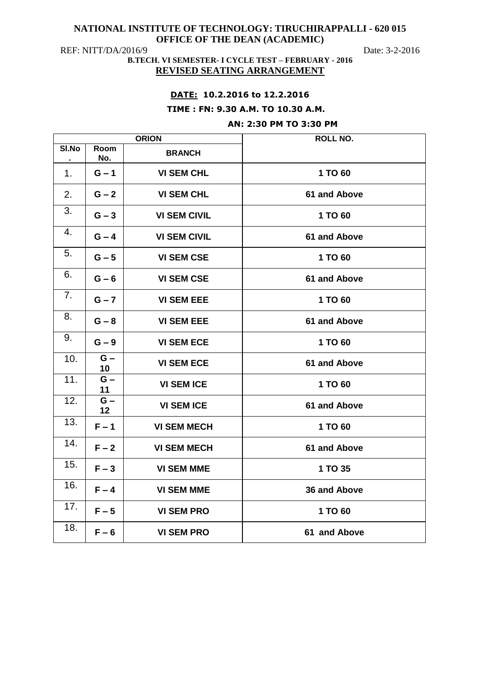## **NATIONAL INSTITUTE OF TECHNOLOGY: TIRUCHIRAPPALLI - 620 015 OFFICE OF THE DEAN (ACADEMIC)**

REF: NITT/DA/2016/9 Date: 3-2-2016

## **B.TECH. VI SEMESTER- I CYCLE TEST – FEBRUARY - 2016 REVISED SEATING ARRANGEMENT**

# **DATE: 10.2.2016 to 12.2.2016**

#### **TIME : FN: 9.30 A.M. TO 10.30 A.M.**

### **AN: 2:30 PM TO 3:30 PM**

| <b>ORION</b> |             |                     | <b>ROLL NO.</b> |
|--------------|-------------|---------------------|-----------------|
| SI.No        | Room<br>No. | <b>BRANCH</b>       |                 |
| 1.           | $G - 1$     | <b>VI SEM CHL</b>   | 1 TO 60         |
| 2.           | $G - 2$     | <b>VI SEM CHL</b>   | 61 and Above    |
| 3.           | $G - 3$     | <b>VI SEM CIVIL</b> | 1 TO 60         |
| 4.           | $G - 4$     | <b>VI SEM CIVIL</b> | 61 and Above    |
| 5.           | $G - 5$     | <b>VI SEM CSE</b>   | 1 TO 60         |
| 6.           | $G - 6$     | <b>VI SEM CSE</b>   | 61 and Above    |
| 7.           | $G - 7$     | <b>VI SEM EEE</b>   | 1 TO 60         |
| 8.           | $G - 8$     | <b>VI SEM EEE</b>   | 61 and Above    |
| 9.           | $G - 9$     | <b>VI SEM ECE</b>   | 1 TO 60         |
| 10.          | $G -$<br>10 | <b>VI SEM ECE</b>   | 61 and Above    |
| 11.          | $G -$<br>11 | <b>VI SEM ICE</b>   | 1 TO 60         |
| 12.          | $G -$<br>12 | <b>VI SEM ICE</b>   | 61 and Above    |
| 13.          | $F - 1$     | <b>VI SEM MECH</b>  | 1 TO 60         |
| 14.          | $F - 2$     | <b>VI SEM MECH</b>  | 61 and Above    |
| 15.          | $F - 3$     | <b>VI SEM MME</b>   | 1 TO 35         |
| 16.          | $F - 4$     | <b>VI SEM MME</b>   | 36 and Above    |
| 17.          | $F - 5$     | <b>VI SEM PRO</b>   | 1 TO 60         |
| 18.          | $F - 6$     | <b>VI SEM PRO</b>   | 61 and Above    |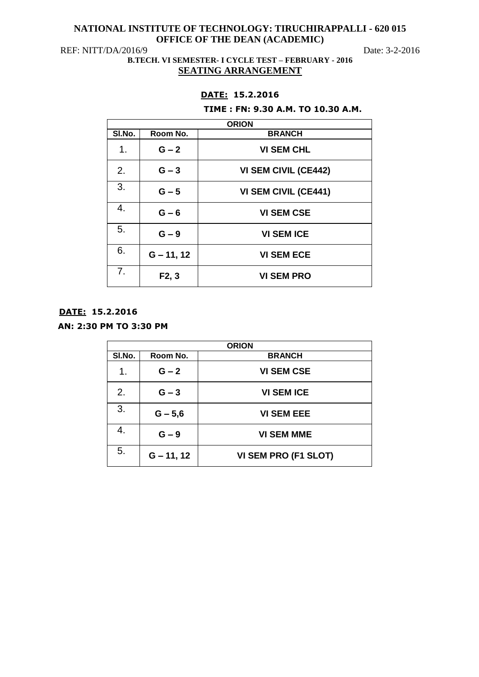# **NATIONAL INSTITUTE OF TECHNOLOGY: TIRUCHIRAPPALLI - 620 015 OFFICE OF THE DEAN (ACADEMIC)**

REF: NITT/DA/2016/9 Date: 3-2-2016

**B.TECH. VI SEMESTER- I CYCLE TEST – FEBRUARY - 2016 SEATING ARRANGEMENT**

# **DATE: 15.2.2016**

#### **TIME : FN: 9.30 A.M. TO 10.30 A.M.**

|                |                    | <b>ORION</b>                |
|----------------|--------------------|-----------------------------|
| SI.No.         | Room No.           | <b>BRANCH</b>               |
| 1.             | $G - 2$            | <b>VI SEM CHL</b>           |
| 2.             | $G - 3$            | <b>VI SEM CIVIL (CE442)</b> |
| 3.             | $G - 5$            | <b>VI SEM CIVIL (CE441)</b> |
| 4.             | $G - 6$            | <b>VI SEM CSE</b>           |
| 5.             | $G - 9$            | <b>VI SEM ICE</b>           |
| 6.             | $G - 11, 12$       | <b>VI SEM ECE</b>           |
| 7 <sub>1</sub> | F <sub>2</sub> , 3 | <b>VI SEM PRO</b>           |

# **DATE: 15.2.2016**

# **AN: 2:30 PM TO 3:30 PM**

| <b>ORION</b> |              |                      |
|--------------|--------------|----------------------|
| SI.No.       | Room No.     | <b>BRANCH</b>        |
| 1.           | $G - 2$      | <b>VI SEM CSE</b>    |
| 2.           | $G - 3$      | <b>VI SEM ICE</b>    |
| 3.           | $G - 5,6$    | <b>VI SEM EEE</b>    |
| 4.           | $G - 9$      | <b>VI SEM MME</b>    |
| 5.           | $G - 11, 12$ | VI SEM PRO (F1 SLOT) |